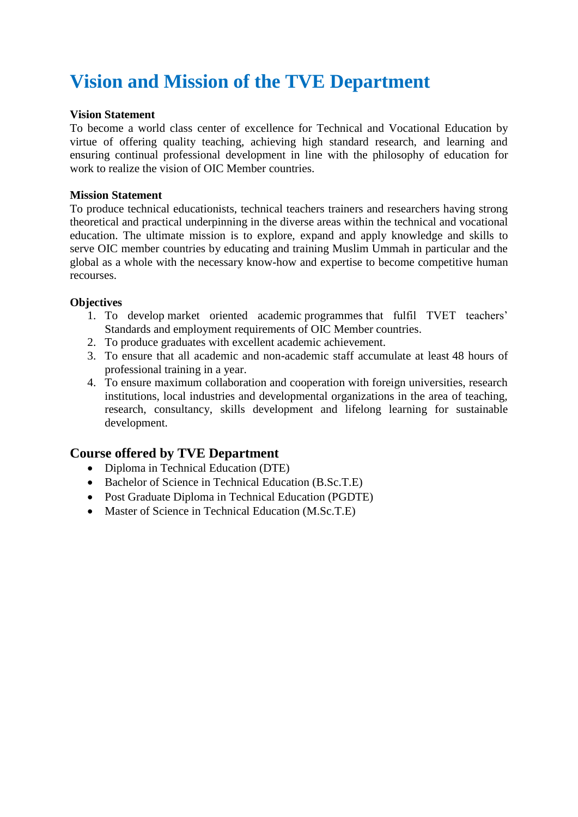# **Vision and Mission of the TVE Department**

#### **Vision Statement**

To become a world class center of excellence for Technical and Vocational Education by virtue of offering quality teaching, achieving high standard research, and learning and ensuring continual professional development in line with the philosophy of education for work to realize the vision of OIC Member countries.

#### **Mission Statement**

To produce technical educationists, technical teachers trainers and researchers having strong theoretical and practical underpinning in the diverse areas within the technical and vocational education. The ultimate mission is to explore, expand and apply knowledge and skills to serve OIC member countries by educating and training Muslim Ummah in particular and the global as a whole with the necessary know-how and expertise to become competitive human recourses.

#### **Objectives**

- 1. To develop market oriented academic programmes that fulfil TVET teachers' Standards and employment requirements of OIC Member countries.
- 2. To produce graduates with excellent academic achievement.
- 3. To ensure that all academic and non-academic staff accumulate at least 48 hours of professional training in a year.
- 4. To ensure maximum collaboration and cooperation with foreign universities, research institutions, local industries and developmental organizations in the area of teaching, research, consultancy, skills development and lifelong learning for sustainable development.

### **Course offered by TVE Department**

- Diploma in Technical Education (DTE)
- Bachelor of Science in Technical Education (B.Sc.T.E)
- Post Graduate Diploma in Technical Education (PGDTE)
- Master of Science in Technical Education (M.Sc.T.E)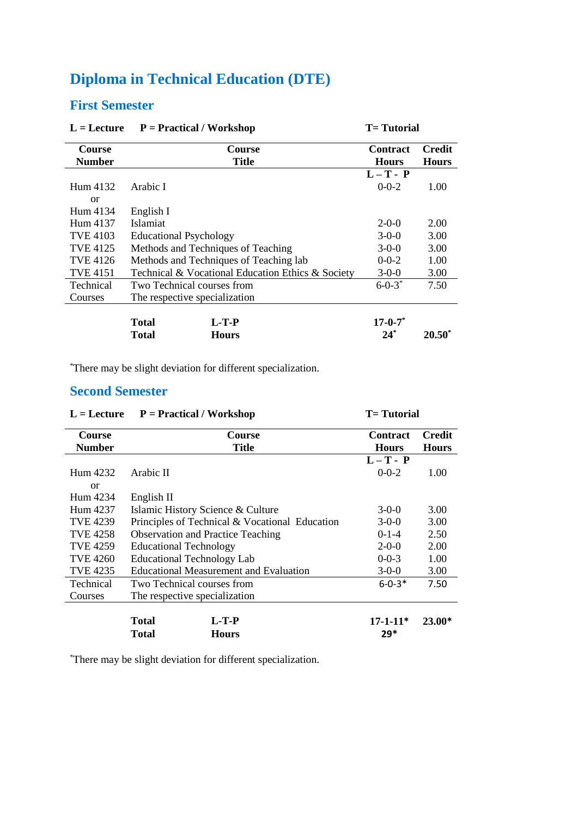## **First Semester**

| $L =$ Lecture   | $P = Practical / Workshop$                        | <b>T</b> = Tutorial |               |
|-----------------|---------------------------------------------------|---------------------|---------------|
| <b>Course</b>   | Course                                            | <b>Contract</b>     | <b>Credit</b> |
| <b>Number</b>   | <b>Title</b>                                      | <b>Hours</b>        | <b>Hours</b>  |
|                 |                                                   | $L-T - P$           |               |
| Hum 4132        | Arabic I                                          | $0 - 0 - 2$         | 1.00          |
| <b>or</b>       |                                                   |                     |               |
| Hum 4134        | English I                                         |                     |               |
| Hum 4137        | <b>Islamiat</b>                                   | $2 - 0 - 0$         | 2.00          |
| <b>TVE 4103</b> | <b>Educational Psychology</b>                     | $3-0-0$             | 3.00          |
| <b>TVE 4125</b> | Methods and Techniques of Teaching                | $3-0-0$             | 3.00          |
| <b>TVE 4126</b> | Methods and Techniques of Teaching lab            | $0 - 0 - 2$         | 1.00          |
| <b>TVE 4151</b> | Technical & Vocational Education Ethics & Society | $3-0-0$             | 3.00          |
| Technical       | Two Technical courses from                        | $6 - 0 - 3^*$       | 7.50          |
| Courses         | The respective specialization                     |                     |               |
|                 |                                                   |                     |               |
|                 | <b>Total</b><br>$L-T-P$                           | $17 - 0 - 7^*$      |               |
|                 | Total<br><b>Hours</b>                             | $24*$               | $20.50^*$     |

\*There may be slight deviation for different specialization.

## **Second Semester**

| $L =$ Lecture   | $P = Practical / Workshop$        |                                                | <b>T</b> = Tutorial |               |
|-----------------|-----------------------------------|------------------------------------------------|---------------------|---------------|
| <b>Course</b>   |                                   | Course                                         | <b>Contract</b>     | <b>Credit</b> |
| <b>Number</b>   |                                   | Title                                          | <b>Hours</b>        | <b>Hours</b>  |
|                 |                                   |                                                | $L-T - P$           |               |
| Hum 4232        | Arabic II                         |                                                | $0 - 0 - 2$         | 1.00          |
| <sub>or</sub>   |                                   |                                                |                     |               |
| Hum 4234        | English II                        |                                                |                     |               |
| Hum 4237        |                                   | Islamic History Science & Culture              | $3-0-0$             | 3.00          |
| TVE 4239        |                                   | Principles of Technical & Vocational Education | $3-0-0$             | 3.00          |
| <b>TVE 4258</b> |                                   | <b>Observation and Practice Teaching</b>       | $0-1-4$             | 2.50          |
| <b>TVE 4259</b> | <b>Educational Technology</b>     |                                                | $2 - 0 - 0$         | 2.00          |
| <b>TVE 4260</b> | <b>Educational Technology Lab</b> |                                                | $0 - 0 - 3$         | 1.00          |
| <b>TVE 4235</b> |                                   | <b>Educational Measurement and Evaluation</b>  | $3-0-0$             | 3.00          |
| Technical       | Two Technical courses from        |                                                | $6 - 0 - 3*$        | 7.50          |
| Courses         | The respective specialization     |                                                |                     |               |
|                 |                                   |                                                |                     |               |
|                 | <b>Total</b>                      | $L-T-P$                                        | $17-1-11*$          | 23.00*        |
|                 | <b>Total</b>                      | <b>Hours</b>                                   | 29*                 |               |

\*There may be slight deviation for different specialization.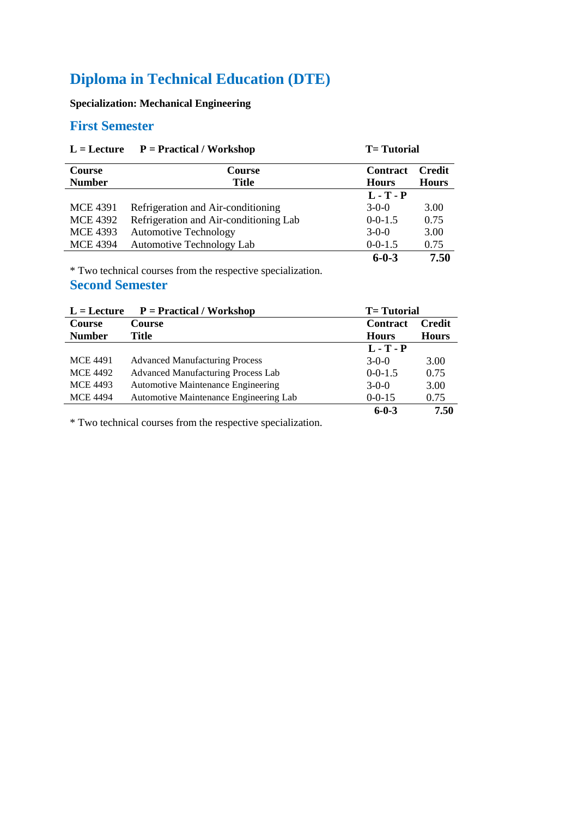### **Specialization: Mechanical Engineering**

### **First Semester**

| $P = Practical / Workshop$<br>$L =$ Lecture |                                        | <b>T</b> = Tutorial             |                               |
|---------------------------------------------|----------------------------------------|---------------------------------|-------------------------------|
| <b>Course</b><br><b>Number</b>              | <b>Course</b><br><b>Title</b>          | <b>Contract</b><br><b>Hours</b> | <b>Credit</b><br><b>Hours</b> |
|                                             |                                        | $L - T - P$                     |                               |
| <b>MCE 4391</b>                             | Refrigeration and Air-conditioning     | $3-0-0$                         | 3.00                          |
| <b>MCE 4392</b>                             | Refrigeration and Air-conditioning Lab | $0 - 0 - 1.5$                   | 0.75                          |
| <b>MCE 4393</b>                             | <b>Automotive Technology</b>           | $3-0-0$                         | 3.00                          |
| <b>MCE 4394</b>                             | Automotive Technology Lab              | $0 - 0 - 1.5$                   | 0.75                          |
|                                             |                                        | $6 - 0 - 3$                     | 7.50                          |

\* Two technical courses from the respective specialization.

### **Second Semester**

| $P = Practical / Workshop$<br>$L =$ Lecture |                                           |                 | <b>T</b> = Tutorial |  |
|---------------------------------------------|-------------------------------------------|-----------------|---------------------|--|
| Course                                      | <b>Course</b>                             | <b>Contract</b> | <b>Credit</b>       |  |
| <b>Number</b>                               | Title                                     | <b>Hours</b>    | <b>Hours</b>        |  |
|                                             |                                           | $L - T - P$     |                     |  |
| <b>MCE 4491</b>                             | <b>Advanced Manufacturing Process</b>     | $3-0-0$         | 3.00                |  |
| <b>MCE 4492</b>                             | <b>Advanced Manufacturing Process Lab</b> | $0 - 0 - 1.5$   | 0.75                |  |
| <b>MCE 4493</b>                             | <b>Automotive Maintenance Engineering</b> | $3-0-0$         | 3.00                |  |
| <b>MCE 4494</b>                             | Automotive Maintenance Engineering Lab    | $0 - 0 - 15$    | 0.75                |  |
|                                             |                                           | $6 - 0 - 3$     | 7.50                |  |

\* Two technical courses from the respective specialization.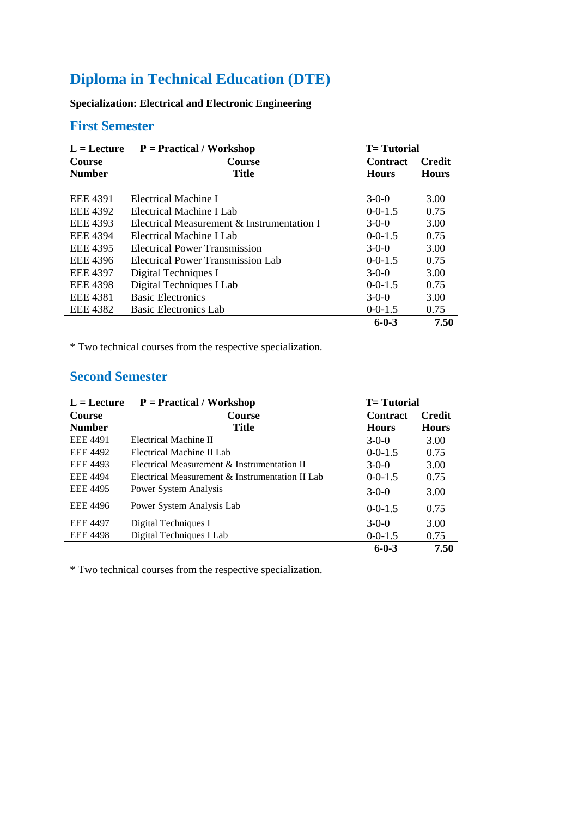**Specialization: Electrical and Electronic Engineering**

### **First Semester**

| $L =$ Lecture   | $P = Practical / Workshop$                 | <b>T</b> = Tutorial |               |
|-----------------|--------------------------------------------|---------------------|---------------|
| <b>Course</b>   | <b>Course</b>                              | <b>Contract</b>     | <b>Credit</b> |
| <b>Number</b>   | <b>Title</b>                               | <b>Hours</b>        | <b>Hours</b>  |
|                 |                                            |                     |               |
| <b>EEE 4391</b> | Electrical Machine I                       | $3-0-0$             | 3.00          |
| <b>EEE 4392</b> | Electrical Machine I Lab                   | $0-0-1.5$           | 0.75          |
| EEE 4393        | Electrical Measurement & Instrumentation I | $3-0-0$             | 3.00          |
| <b>EEE 4394</b> | Electrical Machine I Lab                   | $0-0-1.5$           | 0.75          |
| <b>EEE 4395</b> | Electrical Power Transmission              | $3-0-0$             | 3.00          |
| EEE 4396        | Electrical Power Transmission Lab          | $0-0-1.5$           | 0.75          |
| <b>EEE 4397</b> | Digital Techniques I                       | $3-0-0$             | 3.00          |
| <b>EEE 4398</b> | Digital Techniques I Lab                   | $0-0-1.5$           | 0.75          |
| <b>EEE 4381</b> | <b>Basic Electronics</b>                   | $3-0-0$             | 3.00          |
| <b>EEE 4382</b> | Basic Electronics Lab                      | $0-0-1.5$           | 0.75          |
|                 |                                            | $6 - 0 - 3$         | 7.50          |

\* Two technical courses from the respective specialization.

### **Second Semester**

| $L =$ Lecture   | $P = Practical / Workshop$                      | <b>T</b> = Tutorial |               |
|-----------------|-------------------------------------------------|---------------------|---------------|
| <b>Course</b>   | <b>Course</b>                                   | <b>Contract</b>     | <b>Credit</b> |
| <b>Number</b>   | <b>Title</b>                                    | <b>Hours</b>        | <b>Hours</b>  |
| <b>EEE 4491</b> | Electrical Machine II                           | $3-0-0$             | 3.00          |
| <b>EEE 4492</b> | Electrical Machine II Lab                       | $0-0-1.5$           | 0.75          |
| <b>EEE 4493</b> | Electrical Measurement $\&$ Instrumentation II  | $3-0-0$             | 3.00          |
| <b>EEE 4494</b> | Electrical Measurement & Instrumentation II Lab | $0-0-1.5$           | 0.75          |
| <b>EEE 4495</b> | Power System Analysis                           | $3-0-0$             | 3.00          |
| <b>EEE 4496</b> | Power System Analysis Lab                       | $0-0-1.5$           | 0.75          |
| <b>EEE 4497</b> | Digital Techniques I                            | $3-0-0$             | 3.00          |
| <b>EEE 4498</b> | Digital Techniques I Lab                        | $0-0-1.5$           | 0.75          |
|                 |                                                 | $6 - 0 - 3$         | 7.50          |

\* Two technical courses from the respective specialization.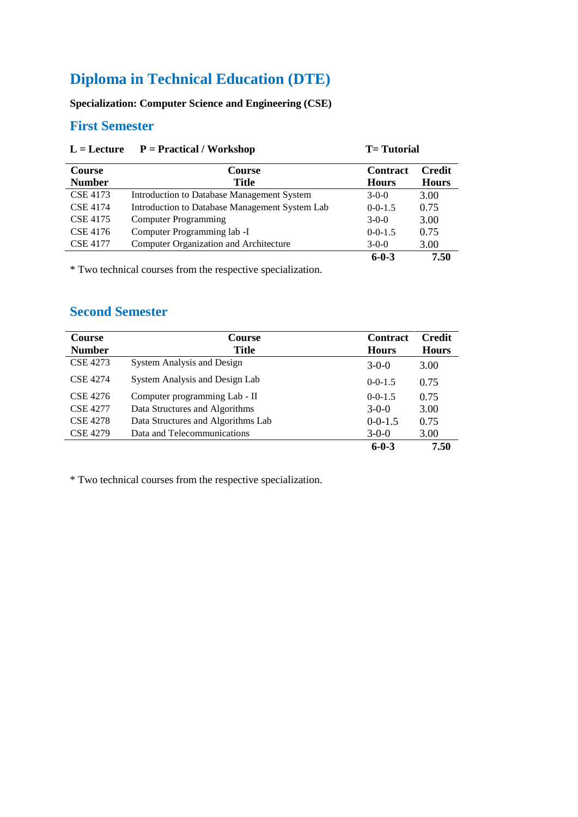### **Specialization: Computer Science and Engineering (CSE)**

### **First Semester**

| $L =$ Lecture   | $P = \text{Practical} / \text{Workshop}$       | <b>T</b> = Tutorial |               |
|-----------------|------------------------------------------------|---------------------|---------------|
| <b>Course</b>   | <b>Course</b>                                  | <b>Contract</b>     | <b>Credit</b> |
| <b>Number</b>   | <b>Title</b>                                   | <b>Hours</b>        | <b>Hours</b>  |
| <b>CSE 4173</b> | Introduction to Database Management System     | $3-0-0$             | 3.00          |
| <b>CSE 4174</b> | Introduction to Database Management System Lab | $0 - 0 - 1.5$       | 0.75          |
| <b>CSE 4175</b> | <b>Computer Programming</b>                    | $3-0-0$             | 3.00          |
| <b>CSE 4176</b> | Computer Programming lab -I                    | $0 - 0 - 1.5$       | 0.75          |
| <b>CSE 4177</b> | Computer Organization and Architecture         | $3-0-0$             | 3.00          |
|                 |                                                | $6 - 0 - 3$         | 7.50          |

\* Two technical courses from the respective specialization.

### **Second Semester**

| <b>Course</b><br><b>Number</b> | Course<br><b>Title</b>             | <b>Contract</b><br><b>Hours</b> | <b>Credit</b><br><b>Hours</b> |
|--------------------------------|------------------------------------|---------------------------------|-------------------------------|
| CSE 4273                       | System Analysis and Design         | $3-0-0$                         | 3.00                          |
| <b>CSE 4274</b>                | System Analysis and Design Lab     | $0-0-1.5$                       | 0.75                          |
| CSE 4276                       | Computer programming Lab - II      | $0-0-1.5$                       | 0.75                          |
| <b>CSE 4277</b>                | Data Structures and Algorithms     | $3-0-0$                         | 3.00                          |
| <b>CSE 4278</b>                | Data Structures and Algorithms Lab | $0 - 0 - 1.5$                   | 0.75                          |
| <b>CSE 4279</b>                | Data and Telecommunications        | $3-0-0$                         | 3.00                          |
|                                |                                    | $6 - 0 - 3$                     | 7.50                          |

\* Two technical courses from the respective specialization.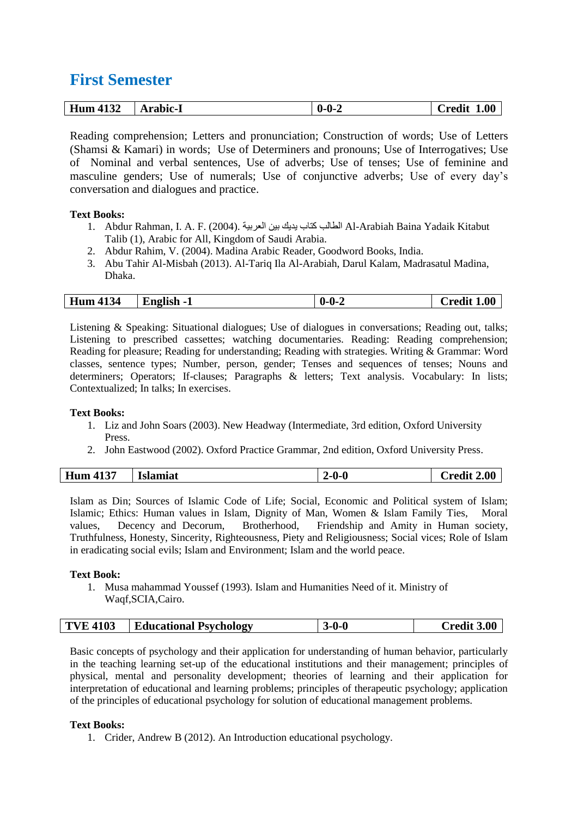## **First Semester**

| 11 2 2<br><b>Hum 41</b><br>+1.52 | Arabic-1 | 0.0. | 1.00<br>Uredit |
|----------------------------------|----------|------|----------------|
| _______                          |          |      |                |

Reading comprehension; Letters and pronunciation; Construction of words; Use of Letters (Shamsi & Kamari) in words; Use of Determiners and pronouns; Use of Interrogatives; Use of Nominal and verbal sentences, Use of adverbs; Use of tenses; Use of feminine and masculine genders; Use of numerals; Use of conjunctive adverbs; Use of every day's conversation and dialogues and practice.

#### **Text Books:**

- 1. Abdur Rahman, I. A. F. (2004). العربية بين يديك كتاب الطالب Al-Arabiah Baina Yadaik Kitabut Talib (1), Arabic for All, Kingdom of Saudi Arabia.
- 2. Abdur Rahim, V. (2004). Madina Arabic Reader, Goodword Books, India.
- 3. Abu Tahir Al-Misbah (2013). Al-Tariq Ila Al-Arabiah, Darul Kalam, Madrasatul Madina, Dhaka.

Listening & Speaking: Situational dialogues; Use of dialogues in conversations; Reading out, talks; Listening to prescribed cassettes; watching documentaries. Reading: Reading comprehension; Reading for pleasure; Reading for understanding; Reading with strategies. Writing & Grammar: Word classes, sentence types; Number, person, gender; Tenses and sequences of tenses; Nouns and determiners; Operators; If-clauses; Paragraphs & letters; Text analysis. Vocabulary: In lists; Contextualized; In talks; In exercises.

#### **Text Books:**

- 1. Liz and John Soars (2003). New Headway (Intermediate, 3rd edition, Oxford University Press
- 2. John Eastwood (2002). Oxford Practice Grammar, 2nd edition, Oxford University Press.

| <b>Hum 4137</b><br>2.00<br>'rodit<br>Is!<br>amiat |
|---------------------------------------------------|
|---------------------------------------------------|

Islam as Din; Sources of Islamic Code of Life; Social, Economic and Political system of Islam; Islamic; Ethics: Human values in Islam, Dignity of Man, Women & Islam Family Ties, Moral values, Decency and Decorum, Brotherhood, Friendship and Amity in Human society, Truthfulness, Honesty, Sincerity, Righteousness, Piety and Religiousness; Social vices; Role of Islam in eradicating social evils; Islam and Environment; Islam and the world peace.

#### **Text Book:**

1. Musa mahammad Youssef (1993). Islam and Humanities Need of it. Ministry of Waqf,SCIA,Cairo.

|  | <b>TVE 4103</b> | <b>Educational Psychology</b> | $-0-0$ | Credit 3.00 |
|--|-----------------|-------------------------------|--------|-------------|
|--|-----------------|-------------------------------|--------|-------------|

Basic concepts of psychology and their application for understanding of human behavior, particularly in the teaching learning set-up of the educational institutions and their management; principles of physical, mental and personality development; theories of learning and their application for interpretation of educational and learning problems; principles of therapeutic psychology; application of the principles of educational psychology for solution of educational management problems.

#### **Text Books:**

1. Crider, Andrew B (2012). An Introduction educational psychology.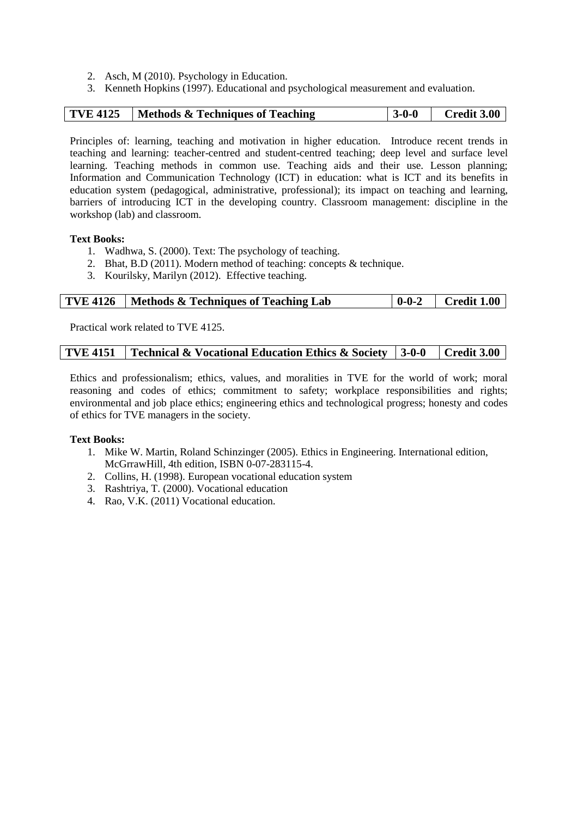- 2. Asch, M (2010). Psychology in Education.
- 3. Kenneth Hopkins (1997). Educational and psychological measurement and evaluation.

| <b>TVE 4125</b><br><b>Credit 3.00</b><br>$3-0-0$<br>  Methods & Techniques of Teaching |
|----------------------------------------------------------------------------------------|
|----------------------------------------------------------------------------------------|

Principles of: learning, teaching and motivation in higher education. Introduce recent trends in teaching and learning: teacher-centred and student-centred teaching; deep level and surface level learning. Teaching methods in common use. Teaching aids and their use. Lesson planning; Information and Communication Technology (ICT) in education: what is ICT and its benefits in education system (pedagogical, administrative, professional); its impact on teaching and learning, barriers of introducing ICT in the developing country. Classroom management: discipline in the workshop (lab) and classroom.

#### **Text Books:**

- 1. Wadhwa, S. (2000). Text: The psychology of teaching.
- 2. Bhat, B.D (2011). Modern method of teaching: concepts & technique.
- 3. Kourilsky, Marilyn (2012). Effective teaching.

|  | <b>TVE 4126</b>   Methods & Techniques of Teaching Lab |  | $ 0-0-2 $ Credit 1.00 |
|--|--------------------------------------------------------|--|-----------------------|
|--|--------------------------------------------------------|--|-----------------------|

Practical work related to TVE 4125.

Ethics and professionalism; ethics, values, and moralities in TVE for the world of work; moral reasoning and codes of ethics; commitment to safety; workplace responsibilities and rights; environmental and job place ethics; engineering ethics and technological progress; honesty and codes of ethics for TVE managers in the society.

- 1. Mike W. Martin, Roland Schinzinger (2005). Ethics in Engineering. International edition, McGrrawHill, 4th edition, ISBN 0-07-283115-4.
- 2. Collins, H. (1998). European vocational education system
- 3. Rashtriya, T. (2000). Vocational education
- 4. Rao, V.K. (2011) Vocational education.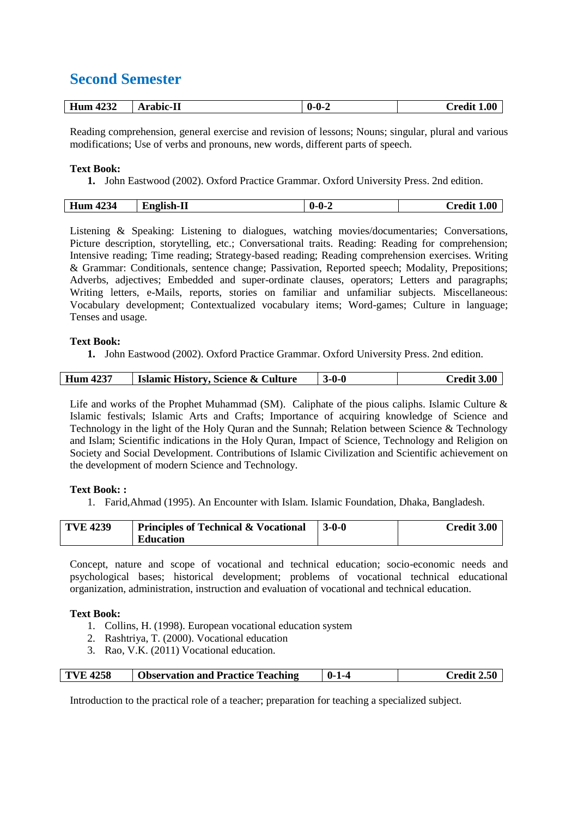## **Second Semester**

| Hum<br>1000<br>4232 | * rohie<br>-11<br>$\mathbf{r}$ . We set | -0.0.<br><br>-<br>v | .00<br>. <del>.</del><br>$\cup$ cur- |
|---------------------|-----------------------------------------|---------------------|--------------------------------------|

Reading comprehension, general exercise and revision of lessons; Nouns; singular, plural and various modifications; Use of verbs and pronouns, new words, different parts of speech.

#### **Text Book:**

**1.** John Eastwood (2002). Oxford Practice Grammar. Oxford University Press. 2nd edition.

| $\sim$<br>TT<br>4234<br>Hur | <br>п<br>.<br>. .<br>ш | . .<br>. . | 0.01<br><b>אמי</b> |
|-----------------------------|------------------------|------------|--------------------|
|                             |                        |            |                    |

Listening & Speaking: Listening to dialogues, watching movies/documentaries; Conversations, Picture description, storytelling, etc.; Conversational traits. Reading: Reading for comprehension; Intensive reading; Time reading; Strategy-based reading; Reading comprehension exercises. Writing & Grammar: Conditionals, sentence change; Passivation, Reported speech; Modality, Prepositions; Adverbs, adjectives; Embedded and super-ordinate clauses, operators; Letters and paragraphs; Writing letters, e-Mails, reports, stories on familiar and unfamiliar subjects. Miscellaneous: Vocabulary development; Contextualized vocabulary items; Word-games; Culture in language; Tenses and usage.

#### **Text Book:**

**1.** John Eastwood (2002). Oxford Practice Grammar. Oxford University Press. 2nd edition.

| <b>Islamic History, Science &amp; Culture</b><br>Hum 4237 | $3-0-0$ | <b>Credit 3.00</b> |
|-----------------------------------------------------------|---------|--------------------|
|-----------------------------------------------------------|---------|--------------------|

Life and works of the Prophet Muhammad (SM). Caliphate of the pious caliphs. Islamic Culture  $\&$ Islamic festivals; Islamic Arts and Crafts; Importance of acquiring knowledge of Science and Technology in the light of the Holy Quran and the Sunnah; Relation between Science & Technology and Islam; Scientific indications in the Holy Quran, Impact of Science, Technology and Religion on Society and Social Development. Contributions of Islamic Civilization and Scientific achievement on the development of modern Science and Technology.

#### **Text Book: :**

1. Farid,Ahmad (1995). An Encounter with Islam. Islamic Foundation, Dhaka, Bangladesh.

| <b>TVE 4239</b> | <b>Principles of Technical &amp; Vocational</b> | $\sqrt{3-0-0}$ | Credit 3.00 |
|-----------------|-------------------------------------------------|----------------|-------------|
|                 | Education                                       |                |             |

Concept, nature and scope of vocational and technical education; socio-economic needs and psychological bases; historical development; problems of vocational technical educational organization, administration, instruction and evaluation of vocational and technical education.

#### **Text Book:**

- 1. Collins, H. (1998). European vocational education system
- 2. Rashtriya, T. (2000). Vocational education
- 3. Rao, V.K. (2011) Vocational education.

Introduction to the practical role of a teacher; preparation for teaching a specialized subject.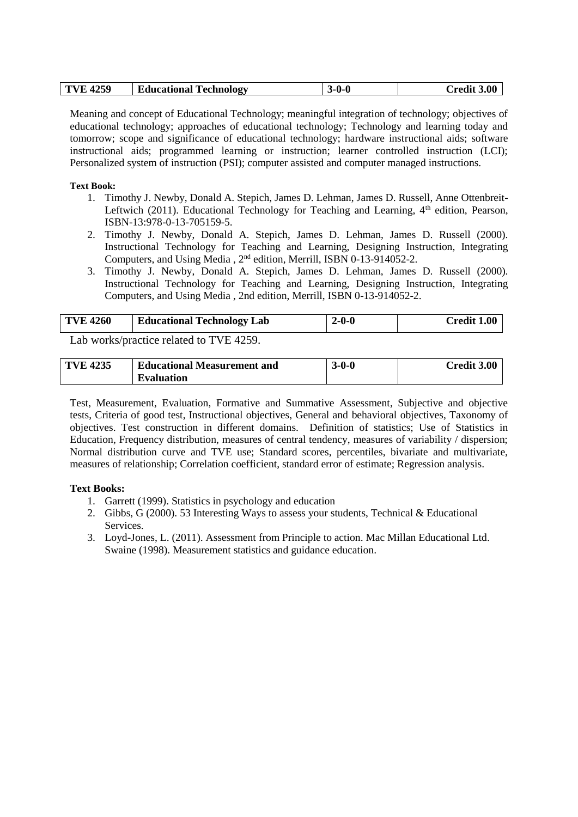| <b>TVE 4259</b> | <b>Educational Technology</b><br>o, | 3-0-0 | Credit 3.00 |
|-----------------|-------------------------------------|-------|-------------|
|-----------------|-------------------------------------|-------|-------------|

Meaning and concept of Educational Technology; meaningful integration of technology; objectives of educational technology; approaches of educational technology; Technology and learning today and tomorrow; scope and significance of educational technology; hardware instructional aids; software instructional aids; programmed learning or instruction; learner controlled instruction (LCI); Personalized system of instruction (PSI); computer assisted and computer managed instructions.

#### **Text Book:**

- 1. Timothy J. Newby, Donald A. Stepich, James D. Lehman, James D. Russell, Anne Ottenbreit-Leftwich (2011). Educational Technology for Teaching and Learning,  $4<sup>th</sup>$  edition, Pearson, ISBN-13:978-0-13-705159-5.
- 2. Timothy J. Newby, Donald A. Stepich, James D. Lehman, James D. Russell (2000). Instructional Technology for Teaching and Learning, Designing Instruction, Integrating Computers, and Using Media , 2<sup>nd</sup> edition, Merrill, ISBN 0-13-914052-2.
- 3. Timothy J. Newby, Donald A. Stepich, James D. Lehman, James D. Russell (2000). Instructional Technology for Teaching and Learning, Designing Instruction, Integrating Computers, and Using Media , 2nd edition, Merrill, ISBN 0-13-914052-2.

| <b>TVE 4260</b> | <b>Educational Technology Lab</b> | 2-0-0 | <b>Credit 1.00</b> |
|-----------------|-----------------------------------|-------|--------------------|
|                 |                                   |       |                    |

Lab works/practice related to TVE 4259.

| <b>TVE 4235</b> | <b>Educational Measurement and</b> | 3-0-0 | <b>Credit 3.00</b> |
|-----------------|------------------------------------|-------|--------------------|
|                 | <b>Evaluation</b>                  |       |                    |

Test, Measurement, Evaluation, Formative and Summative Assessment, Subjective and objective tests, Criteria of good test, Instructional objectives, General and behavioral objectives, Taxonomy of objectives. Test construction in different domains. Definition of statistics; Use of Statistics in Education, Frequency distribution, measures of central tendency, measures of variability / dispersion; Normal distribution curve and TVE use; Standard scores, percentiles, bivariate and multivariate, measures of relationship; Correlation coefficient, standard error of estimate; Regression analysis.

- 1. Garrett (1999). Statistics in psychology and education
- 2. Gibbs, G (2000). 53 Interesting Ways to assess your students, Technical & Educational Services.
- 3. Loyd-Jones, L. (2011). Assessment from Principle to action. Mac Millan Educational Ltd. Swaine (1998). Measurement statistics and guidance education.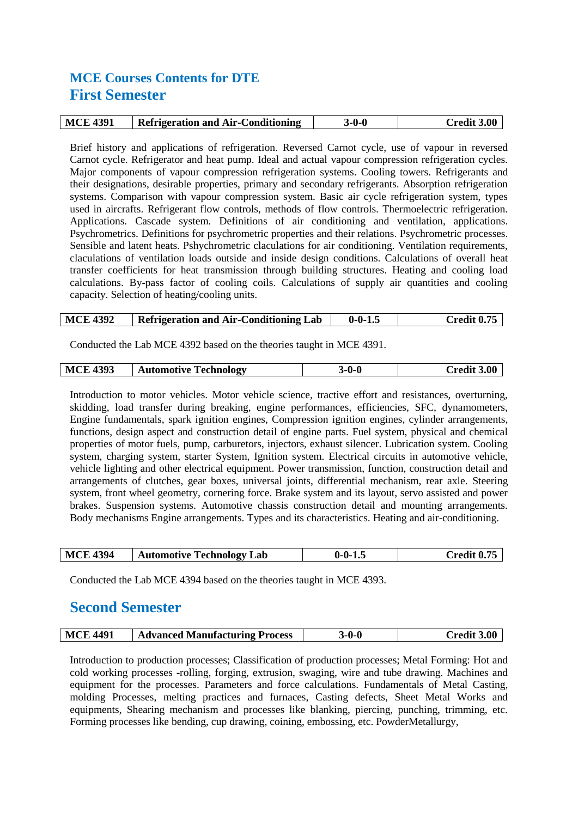## **MCE Courses Contents for DTE First Semester**

| <b>MCE 4391</b> | <b>Refrigeration and Air-Conditioning</b> | 3-0-0 | Credit 3.00 |
|-----------------|-------------------------------------------|-------|-------------|

Brief history and applications of refrigeration. Reversed Carnot cycle, use of vapour in reversed Carnot cycle. Refrigerator and heat pump. Ideal and actual vapour compression refrigeration cycles. Major components of vapour compression refrigeration systems. Cooling towers. Refrigerants and their designations, desirable properties, primary and secondary refrigerants. Absorption refrigeration systems. Comparison with vapour compression system. Basic air cycle refrigeration system, types used in aircrafts. Refrigerant flow controls, methods of flow controls. Thermoelectric refrigeration. Applications. Cascade system. Definitions of air conditioning and ventilation, applications. Psychrometrics. Definitions for psychrometric properties and their relations. Psychrometric processes. Sensible and latent heats. Pshychrometric claculations for air conditioning. Ventilation requirements, claculations of ventilation loads outside and inside design conditions. Calculations of overall heat transfer coefficients for heat transmission through building structures. Heating and cooling load calculations. By-pass factor of cooling coils. Calculations of supply air quantities and cooling capacity. Selection of heating/cooling units.

| MCE 4392 | <b>Refrigeration and Air-Conditioning Lab</b> | $0 - 0 - 1.5$ | Credit 0.75 |
|----------|-----------------------------------------------|---------------|-------------|
|----------|-----------------------------------------------|---------------|-------------|

Conducted the Lab MCE 4392 based on the theories taught in MCE 4391.

| <b>MCE 4393</b><br><b>Automotive Technology</b><br>-0-0 | redit 3.00. |
|---------------------------------------------------------|-------------|
|---------------------------------------------------------|-------------|

Introduction to motor vehicles. Motor vehicle science, tractive effort and resistances, overturning, skidding, load transfer during breaking, engine performances, efficiencies, SFC, dynamometers, Engine fundamentals, spark ignition engines, Compression ignition engines, cylinder arrangements, functions, design aspect and construction detail of engine parts. Fuel system, physical and chemical properties of motor fuels, pump, carburetors, injectors, exhaust silencer. Lubrication system. Cooling system, charging system, starter System, Ignition system. Electrical circuits in automotive vehicle, vehicle lighting and other electrical equipment. Power transmission, function, construction detail and arrangements of clutches, gear boxes, universal joints, differential mechanism, rear axle. Steering system, front wheel geometry, cornering force. Brake system and its layout, servo assisted and power brakes. Suspension systems. Automotive chassis construction detail and mounting arrangements. Body mechanisms Engine arrangements. Types and its characteristics. Heating and air-conditioning.

| <b>MCE 4394</b> | <b>Automotive Technology Lab</b> | $0 - 0 - 1.5$ | Credit 0.75 |
|-----------------|----------------------------------|---------------|-------------|
|                 |                                  |               |             |

Conducted the Lab MCE 4394 based on the theories taught in MCE 4393.

## **Second Semester**

Introduction to production processes; Classification of production processes; Metal Forming: Hot and cold working processes -rolling, forging, extrusion, swaging, wire and tube drawing. Machines and equipment for the processes. Parameters and force calculations. Fundamentals of Metal Casting, molding Processes, melting practices and furnaces, Casting defects, Sheet Metal Works and equipments, Shearing mechanism and processes like blanking, piercing, punching, trimming, etc. Forming processes like bending, cup drawing, coining, embossing, etc. PowderMetallurgy,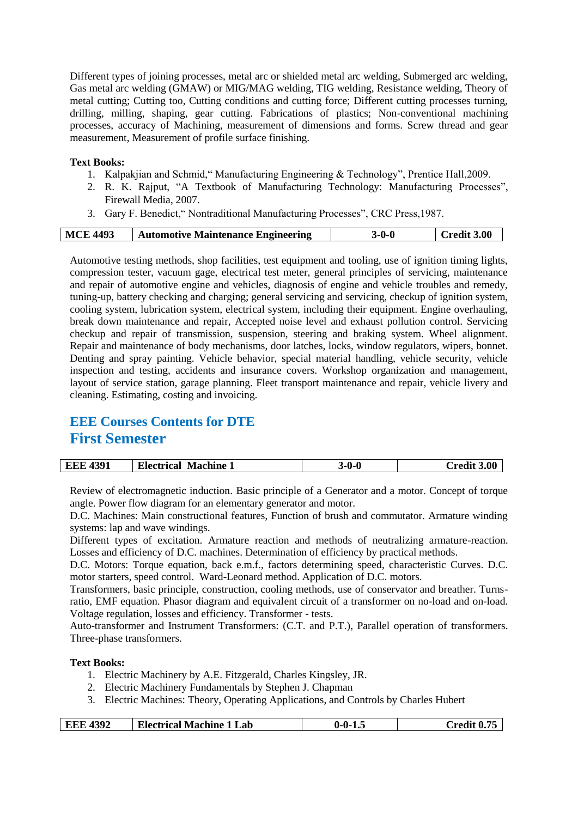Different types of joining processes, metal arc or shielded metal arc welding, Submerged arc welding, Gas metal arc welding (GMAW) or MIG/MAG welding, TIG welding, Resistance welding, Theory of metal cutting; Cutting too, Cutting conditions and cutting force; Different cutting processes turning, drilling, milling, shaping, gear cutting. Fabrications of plastics; Non-conventional machining processes, accuracy of Machining, measurement of dimensions and forms. Screw thread and gear measurement, Measurement of profile surface finishing.

#### **Text Books:**

- 1. Kalpakjian and Schmid," Manufacturing Engineering & Technology", Prentice Hall,2009.
- 2. R. K. Rajput, "A Textbook of Manufacturing Technology: Manufacturing Processes", Firewall Media, 2007.
- 3. Gary F. Benedict," Nontraditional Manufacturing Processes", CRC Press,1987.

|  | <b>MCE 4493</b> | <b>Automotive Maintenance Engineering</b> | }-0-0 | <b>Credit 3.00</b> |
|--|-----------------|-------------------------------------------|-------|--------------------|
|--|-----------------|-------------------------------------------|-------|--------------------|

Automotive testing methods, shop facilities, test equipment and tooling, use of ignition timing lights, compression tester, vacuum gage, electrical test meter, general principles of servicing, maintenance and repair of automotive engine and vehicles, diagnosis of engine and vehicle troubles and remedy, tuning-up, battery checking and charging; general servicing and servicing, checkup of ignition system, cooling system, lubrication system, electrical system, including their equipment. Engine overhauling, break down maintenance and repair, Accepted noise level and exhaust pollution control. Servicing checkup and repair of transmission, suspension, steering and braking system. Wheel alignment. Repair and maintenance of body mechanisms, door latches, locks, window regulators, wipers, bonnet. Denting and spray painting. Vehicle behavior, special material handling, vehicle security, vehicle inspection and testing, accidents and insurance covers. Workshop organization and management, layout of service station, garage planning. Fleet transport maintenance and repair, vehicle livery and cleaning. Estimating, costing and invoicing.

## **EEE Courses Contents for DTE First Semester**

Review of electromagnetic induction. Basic principle of a Generator and a motor. Concept of torque angle. Power flow diagram for an elementary generator and motor.

D.C. Machines: Main constructional features, Function of brush and commutator. Armature winding systems: lap and wave windings.

Different types of excitation. Armature reaction and methods of neutralizing armature-reaction. Losses and efficiency of D.C. machines. Determination of efficiency by practical methods.

D.C. Motors: Torque equation, back e.m.f., factors determining speed, characteristic Curves. D.C. motor starters, speed control. Ward-Leonard method. Application of D.C. motors.

Transformers, basic principle, construction, cooling methods, use of conservator and breather. Turnsratio, EMF equation. Phasor diagram and equivalent circuit of a transformer on no-load and on-load. Voltage regulation, losses and efficiency. Transformer - tests.

Auto-transformer and Instrument Transformers: (C.T. and P.T.), Parallel operation of transformers. Three-phase transformers.

- 1. Electric Machinery by A.E. Fitzgerald, Charles Kingsley, JR.
- 2. Electric Machinery Fundamentals by Stephen J. Chapman
- 3. Electric Machines: Theory, Operating Applications, and Controls by Charles Hubert

| <b>EEE 4392</b><br><b>Electrical Machine 1 Lab</b> | $0 - 0 - 1.5$ | Credit 0.75 |
|----------------------------------------------------|---------------|-------------|
|----------------------------------------------------|---------------|-------------|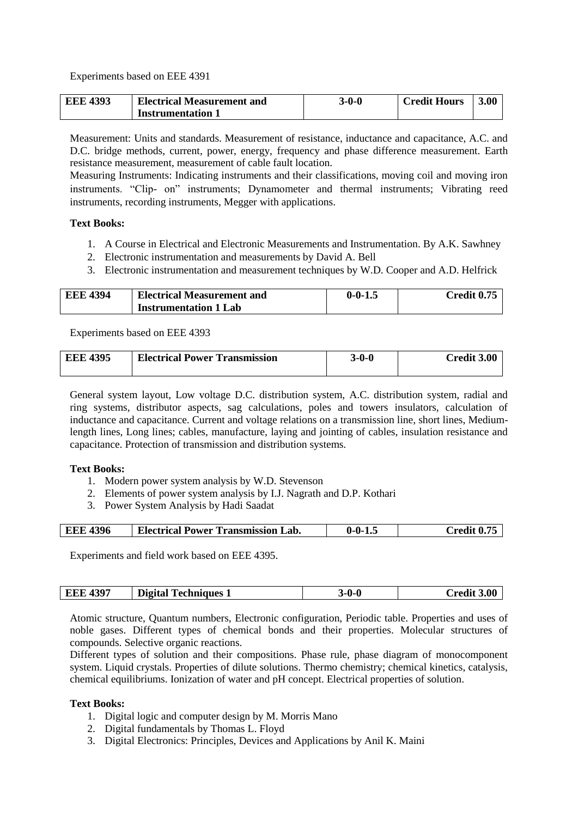Experiments based on EEE 4391

| <b>EEE 4393</b> | Electrical Measurement and | 3-0-0 | <b>Credit Hours</b> | 3.00 |
|-----------------|----------------------------|-------|---------------------|------|
|                 | <b>Instrumentation 1</b>   |       |                     |      |

Measurement: Units and standards. Measurement of resistance, inductance and capacitance, A.C. and D.C. bridge methods, current, power, energy, frequency and phase difference measurement. Earth resistance measurement, measurement of cable fault location.

Measuring Instruments: Indicating instruments and their classifications, moving coil and moving iron instruments. "Clip- on" instruments; Dynamometer and thermal instruments; Vibrating reed instruments, recording instruments, Megger with applications.

#### **Text Books:**

- 1. A Course in Electrical and Electronic Measurements and Instrumentation. By A.K. Sawhney
- 2. Electronic instrumentation and measurements by David A. Bell
- 3. Electronic instrumentation and measurement techniques by W.D. Cooper and A.D. Helfrick

| <b>EEE 4394</b> | <b>Electrical Measurement and</b> | $0 - 0 - 1.$ | Credit 0.75 |
|-----------------|-----------------------------------|--------------|-------------|
|                 | <b>Instrumentation 1 Lab</b>      |              |             |

Experiments based on EEE 4393

| <b>EEE 4395</b> | <b>Electrical Power Transmission</b> | 3-0-0 | Credit 3.00 |
|-----------------|--------------------------------------|-------|-------------|
|-----------------|--------------------------------------|-------|-------------|

General system layout, Low voltage D.C. distribution system, A.C. distribution system, radial and ring systems, distributor aspects, sag calculations, poles and towers insulators, calculation of inductance and capacitance. Current and voltage relations on a transmission line, short lines, Mediumlength lines, Long lines; cables, manufacture, laying and jointing of cables, insulation resistance and capacitance. Protection of transmission and distribution systems.

#### **Text Books:**

- 1. Modern power system analysis by W.D. Stevenson
- 2. Elements of power system analysis by I.J. Nagrath and D.P. Kothari
- 3. Power System Analysis by Hadi Saadat

| 4396 | <b>Electrical</b>              | -0. |  |
|------|--------------------------------|-----|--|
| EEE  | <b>Power Transmission Lab.</b> | -   |  |
|      |                                |     |  |

Experiments and field work based on EEE 4395.

Atomic structure, Quantum numbers, Electronic configuration, Periodic table. Properties and uses of noble gases. Different types of chemical bonds and their properties. Molecular structures of compounds. Selective organic reactions.

Different types of solution and their compositions. Phase rule, phase diagram of monocomponent system. Liquid crystals. Properties of dilute solutions. Thermo chemistry; chemical kinetics, catalysis, chemical equilibriums. Ionization of water and pH concept. Electrical properties of solution.

- 1. Digital logic and computer design by M. Morris Mano
- 2. Digital fundamentals by Thomas L. Floyd
- 3. Digital Electronics: Principles, Devices and Applications by Anil K. Maini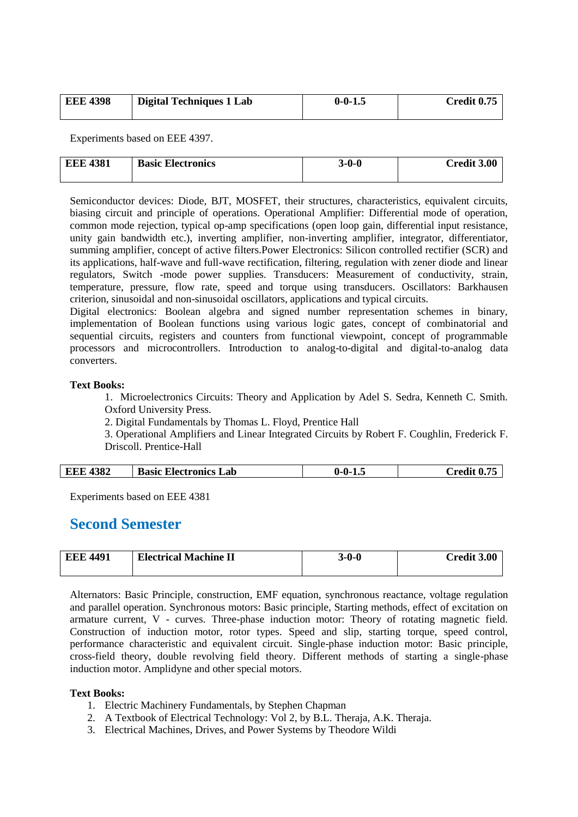| <b>EEE 4398</b> | <b>Digital Techniques 1 Lab</b> | $0 - 0 - 1.5$ | Credit 0.75 |
|-----------------|---------------------------------|---------------|-------------|
|                 |                                 |               |             |

Experiments based on EEE 4397.

| <b>EEE 4381</b> | <b>Basic Electronics</b> | $3 - 0 - 0$ | Credit 3.00 |
|-----------------|--------------------------|-------------|-------------|
|                 |                          |             |             |

Semiconductor devices: Diode, BJT, MOSFET, their structures, characteristics, equivalent circuits, biasing circuit and principle of operations. Operational Amplifier: Differential mode of operation, common mode rejection, typical op-amp specifications (open loop gain, differential input resistance, unity gain bandwidth etc.), inverting amplifier, non-inverting amplifier, integrator, differentiator, summing amplifier, concept of active filters.Power Electronics: Silicon controlled rectifier (SCR) and its applications, half-wave and full-wave rectification, filtering, regulation with zener diode and linear regulators, Switch -mode power supplies. Transducers: Measurement of conductivity, strain, temperature, pressure, flow rate, speed and torque using transducers. Oscillators: Barkhausen criterion, sinusoidal and non-sinusoidal oscillators, applications and typical circuits.

Digital electronics: Boolean algebra and signed number representation schemes in binary, implementation of Boolean functions using various logic gates, concept of combinatorial and sequential circuits, registers and counters from functional viewpoint, concept of programmable processors and microcontrollers. Introduction to analog-to-digital and digital-to-analog data converters.

#### **Text Books:**

1. Microelectronics Circuits: Theory and Application by Adel S. Sedra, Kenneth C. Smith. Oxford University Press.

2. Digital Fundamentals by Thomas L. Floyd, Prentice Hall

3. Operational Amplifiers and Linear Integrated Circuits by Robert F. Coughlin, Frederick F. Driscoll. Prentice-Hall

| <b>EEE 4382</b><br><b>Basic Electronics Lab</b> | $0 - 0 - 1.5$ | $C$ redit $0.75$ |
|-------------------------------------------------|---------------|------------------|
|-------------------------------------------------|---------------|------------------|

Experiments based on EEE 4381

### **Second Semester**

| <b>EEE 4491</b> | <b>Electrical Machine II</b> | 3-0-0 | <b>Credit 3.00</b> |
|-----------------|------------------------------|-------|--------------------|
|                 |                              |       |                    |

Alternators: Basic Principle, construction, EMF equation, synchronous reactance, voltage regulation and parallel operation. Synchronous motors: Basic principle, Starting methods, effect of excitation on armature current, V - curves. Three-phase induction motor: Theory of rotating magnetic field. Construction of induction motor, rotor types. Speed and slip, starting torque, speed control, performance characteristic and equivalent circuit. Single-phase induction motor: Basic principle, cross-field theory, double revolving field theory. Different methods of starting a single-phase induction motor. Amplidyne and other special motors.

- 1. Electric Machinery Fundamentals, by Stephen Chapman
- 2. A Textbook of Electrical Technology: Vol 2, by B.L. Theraja, A.K. Theraja.
- 3. Electrical Machines, Drives, and Power Systems by Theodore Wildi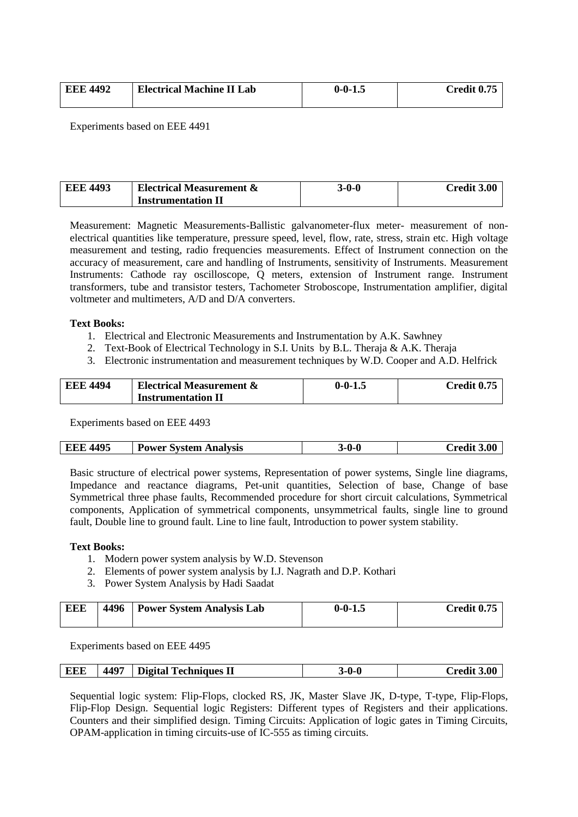| <b>EEE 4492</b> | <b>Electrical Machine II Lab</b> | $0 - 0 - 1$ . | Credit 0.75 |
|-----------------|----------------------------------|---------------|-------------|
|                 |                                  |               |             |

Experiments based on EEE 4491

| <b>EEE 4493</b> | <b>Electrical Measurement &amp;</b> | 3-0-0 | Credit 3.00 |
|-----------------|-------------------------------------|-------|-------------|
|                 | <b>Instrumentation II</b>           |       |             |

Measurement: Magnetic Measurements-Ballistic galvanometer-flux meter- measurement of nonelectrical quantities like temperature, pressure speed, level, flow, rate, stress, strain etc. High voltage measurement and testing, radio frequencies measurements. Effect of Instrument connection on the accuracy of measurement, care and handling of Instruments, sensitivity of Instruments. Measurement Instruments: Cathode ray oscilloscope, Q meters, extension of Instrument range. Instrument transformers, tube and transistor testers, Tachometer Stroboscope, Instrumentation amplifier, digital voltmeter and multimeters, A/D and D/A converters.

#### **Text Books:**

- 1. Electrical and Electronic Measurements and Instrumentation by A.K. Sawhney
- 2. Text-Book of Electrical Technology in S.I. Units by B.L. Theraja & A.K. Theraja
- 3. Electronic instrumentation and measurement techniques by W.D. Cooper and A.D. Helfrick

| <b>EEE 4494</b> | <b>Electrical Measurement &amp;</b> | $0 - 0 - 1.5$ | Credit 0.75 |
|-----------------|-------------------------------------|---------------|-------------|
|                 | <b>Instrumentation II</b>           |               |             |

Experiments based on EEE 4493

| <b>EEE 4495</b> | <b>Power System Analysis</b> | 3-0-0 | <b>Credit 3.00</b> |
|-----------------|------------------------------|-------|--------------------|
|-----------------|------------------------------|-------|--------------------|

Basic structure of electrical power systems, Representation of power systems, Single line diagrams, Impedance and reactance diagrams, Pet-unit quantities, Selection of base, Change of base Symmetrical three phase faults, Recommended procedure for short circuit calculations, Symmetrical components, Application of symmetrical components, unsymmetrical faults, single line to ground fault, Double line to ground fault. Line to line fault, Introduction to power system stability.

#### **Text Books:**

- 1. Modern power system analysis by W.D. Stevenson
- 2. Elements of power system analysis by I.J. Nagrath and D.P. Kothari
- 3. Power System Analysis by Hadi Saadat

| <b>EEE</b> | 4496 | <b>Power System Analysis Lab</b> | $0 - 0 - 1.5$ | Credit 0.75 |
|------------|------|----------------------------------|---------------|-------------|
|            |      |                                  |               |             |

Experiments based on EEE 4495

| 4497<br>EEE<br><b>Digital Techniques II</b> | 3-0-0 | <b>3.00</b><br>$C$ redit $\tilde{C}$ |
|---------------------------------------------|-------|--------------------------------------|
|---------------------------------------------|-------|--------------------------------------|

Sequential logic system: Flip-Flops, clocked RS, JK, Master Slave JK, D-type, T-type, Flip-Flops, Flip-Flop Design. Sequential logic Registers: Different types of Registers and their applications. Counters and their simplified design. Timing Circuits: Application of logic gates in Timing Circuits, OPAM-application in timing circuits-use of IC-555 as timing circuits.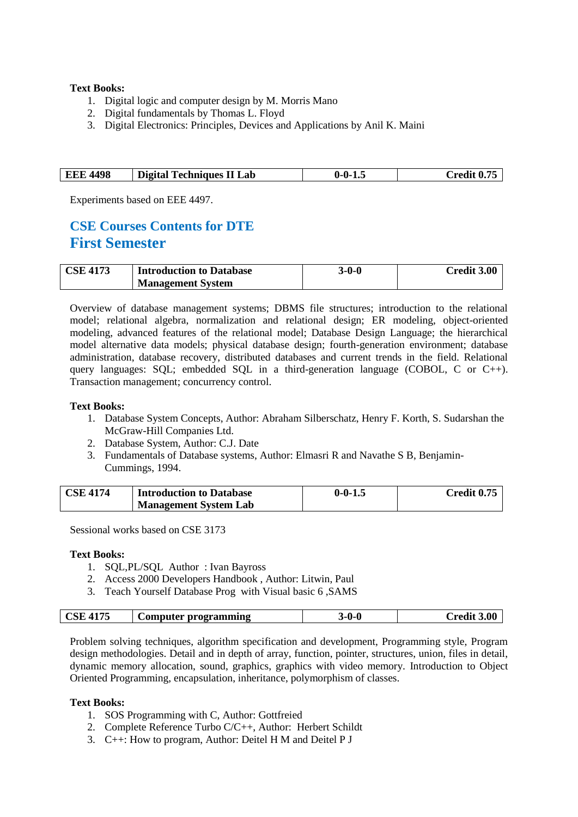#### **Text Books:**

- 1. Digital logic and computer design by M. Morris Mano
- 2. Digital fundamentals by Thomas L. Floyd
- 3. Digital Electronics: Principles, Devices and Applications by Anil K. Maini

| <b>EEE 4498</b> | Digital Techniques II Lab | $0 - 0 - 1.5$ | Credit 0.75 |
|-----------------|---------------------------|---------------|-------------|
|                 |                           |               |             |

Experiments based on EEE 4497.

## **CSE Courses Contents for DTE First Semester**

| <b>CSE 4173</b> | <b>Introduction to Database</b> | 3-0-0 | Credit 3.00 |
|-----------------|---------------------------------|-------|-------------|
|                 | <b>Management System</b>        |       |             |

Overview of database management systems; DBMS file structures; introduction to the relational model; relational algebra, normalization and relational design; ER modeling, object-oriented modeling, advanced features of the relational model; Database Design Language; the hierarchical model alternative data models; physical database design; fourth-generation environment; database administration, database recovery, distributed databases and current trends in the field. Relational query languages: SQL; embedded SQL in a third-generation language (COBOL, C or C++). Transaction management; concurrency control.

#### **Text Books:**

- 1. Database System Concepts, Author: Abraham Silberschatz, Henry F. Korth, S. Sudarshan the McGraw-Hill Companies Ltd.
- 2. Database System, Author: C.J. Date
- 3. Fundamentals of Database systems, Author: Elmasri R and Navathe S B, Benjamin-Cummings, 1994.

| <b>CSE 4174</b> | <b>Introduction to Database</b> | $0 - 0 - 1.5$ | <b>Credit 0.75</b> |
|-----------------|---------------------------------|---------------|--------------------|
|                 | <b>Management System Lab</b>    |               |                    |

Sessional works based on CSE 3173

#### **Text Books:**

- 1. SQL,PL/SQL Author : Ivan Bayross
- 2. Access 2000 Developers Handbook , Author: Litwin, Paul
- 3. Teach Yourself Database Prog with Visual basic 6 ,SAMS

|  | 4175<br>$\mathbf{C}\mathbf{SE}$ | Computer programming | ႐.Ր<br> | 3.00<br>`rooli1<br>-сип. |
|--|---------------------------------|----------------------|---------|--------------------------|
|--|---------------------------------|----------------------|---------|--------------------------|

Problem solving techniques, algorithm specification and development, Programming style, Program design methodologies. Detail and in depth of array, function, pointer, structures, union, files in detail, dynamic memory allocation, sound, graphics, graphics with video memory. Introduction to Object Oriented Programming, encapsulation, inheritance, polymorphism of classes.

- 1. SOS Programming with C, Author: Gottfreied
- 2. Complete Reference Turbo C/C++, Author: Herbert Schildt
- 3. C++: How to program, Author: Deitel H M and Deitel P J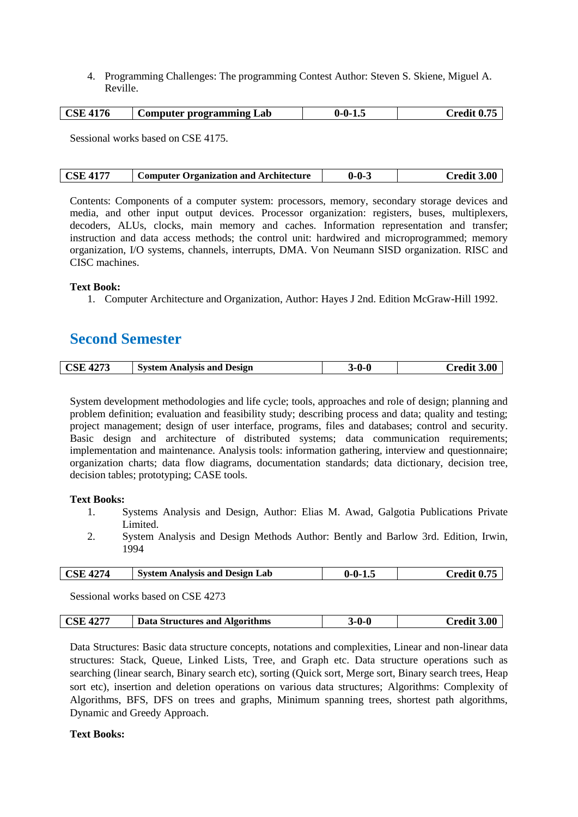4. Programming Challenges: The programming Contest Author: Steven S. Skiene, Miguel A. Reville.

| <b>CSE 4176</b> | <b>Computer programming Lab</b> | $0 - 0 - 1.5$ | <b>Credit 0.75</b> |
|-----------------|---------------------------------|---------------|--------------------|
|-----------------|---------------------------------|---------------|--------------------|

Sessional works based on CSE 4175.

| <b>CSE 4177</b><br><b>Computer Organization and Architecture</b> | $0 - 0 - 3$ | Credit 3.00 |
|------------------------------------------------------------------|-------------|-------------|
|------------------------------------------------------------------|-------------|-------------|

Contents: Components of a computer system: processors, memory, secondary storage devices and media, and other input output devices. Processor organization: registers, buses, multiplexers, decoders, ALUs, clocks, main memory and caches. Information representation and transfer; instruction and data access methods; the control unit: hardwired and microprogrammed; memory organization, I/O systems, channels, interrupts, DMA. Von Neumann SISD organization. RISC and CISC machines.

#### **Text Book:**

1. Computer Architecture and Organization, Author: Hayes J 2nd. Edition McGraw-Hill 1992.

## **Second Semester**

| <b>CSE 4273</b> | <b>System Analysis and Design</b> | $3-0-0$ | <b>Credit 3.00</b> |
|-----------------|-----------------------------------|---------|--------------------|
|-----------------|-----------------------------------|---------|--------------------|

System development methodologies and life cycle; tools, approaches and role of design; planning and problem definition; evaluation and feasibility study; describing process and data; quality and testing; project management; design of user interface, programs, files and databases; control and security. Basic design and architecture of distributed systems; data communication requirements; implementation and maintenance. Analysis tools: information gathering, interview and questionnaire; organization charts; data flow diagrams, documentation standards; data dictionary, decision tree, decision tables; prototyping; CASE tools.

#### **Text Books:**

- 1. Systems Analysis and Design, Author: Elias M. Awad, Galgotia Publications Private Limited.
- 2. System Analysis and Design Methods Author: Bently and Barlow 3rd. Edition, Irwin, 1994

| <b>CSE 4274</b> | <b>System Analysis and Design Lab</b> | $\backslash$ 0-1.<br>11- | Credit 0.75 |
|-----------------|---------------------------------------|--------------------------|-------------|
|                 |                                       |                          |             |

Sessional works based on CSE 4273

| $\overline{)$ CSE 4277<br>Data Structures and Algorithms | 3-0-0 | <b>Credit 3.00</b> |
|----------------------------------------------------------|-------|--------------------|
|----------------------------------------------------------|-------|--------------------|

Data Structures: Basic data structure concepts, notations and complexities, Linear and non-linear data structures: Stack, Queue, Linked Lists, Tree, and Graph etc. Data structure operations such as searching (linear search, Binary search etc), sorting (Quick sort, Merge sort, Binary search trees, Heap sort etc), insertion and deletion operations on various data structures; Algorithms: Complexity of Algorithms, BFS, DFS on trees and graphs, Minimum spanning trees, shortest path algorithms, Dynamic and Greedy Approach.